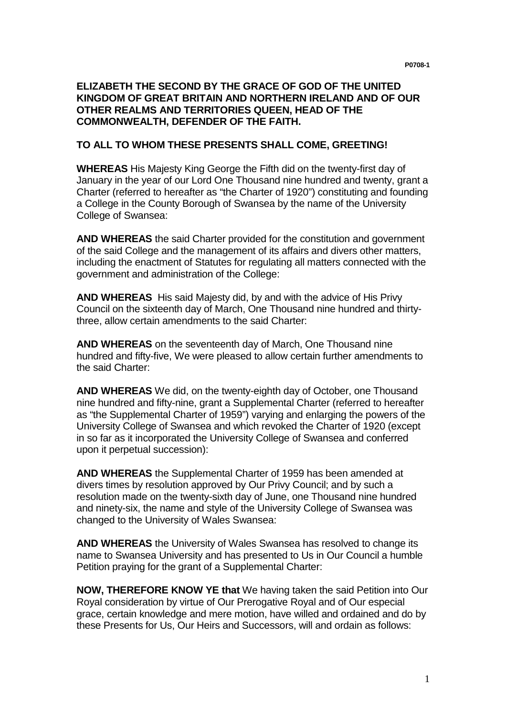## **ELIZABETH THE SECOND BY THE GRACE OF GOD OF THE UNITED KINGDOM OF GREAT BRITAIN AND NORTHERN IRELAND AND OF OUR OTHER REALMS AND TERRITORIES QUEEN, HEAD OF THE COMMONWEALTH, DEFENDER OF THE FAITH.**

## **TO ALL TO WHOM THESE PRESENTS SHALL COME, GREETING!**

**WHEREAS** His Majesty King George the Fifth did on the twenty-first day of January in the year of our Lord One Thousand nine hundred and twenty, grant a Charter (referred to hereafter as "the Charter of 1920") constituting and founding a College in the County Borough of Swansea by the name of the University College of Swansea:

**AND WHEREAS** the said Charter provided for the constitution and government of the said College and the management of its affairs and divers other matters, including the enactment of Statutes for regulating all matters connected with the government and administration of the College:

**AND WHEREAS** His said Majesty did, by and with the advice of His Privy Council on the sixteenth day of March, One Thousand nine hundred and thirtythree, allow certain amendments to the said Charter:

**AND WHEREAS** on the seventeenth day of March, One Thousand nine hundred and fifty-five, We were pleased to allow certain further amendments to the said Charter:

**AND WHEREAS** We did, on the twenty-eighth day of October, one Thousand nine hundred and fifty-nine, grant a Supplemental Charter (referred to hereafter as "the Supplemental Charter of 1959") varying and enlarging the powers of the University College of Swansea and which revoked the Charter of 1920 (except in so far as it incorporated the University College of Swansea and conferred upon it perpetual succession):

**AND WHEREAS** the Supplemental Charter of 1959 has been amended at divers times by resolution approved by Our Privy Council; and by such a resolution made on the twenty-sixth day of June, one Thousand nine hundred and ninety-six, the name and style of the University College of Swansea was changed to the University of Wales Swansea:

**AND WHEREAS** the University of Wales Swansea has resolved to change its name to Swansea University and has presented to Us in Our Council a humble Petition praying for the grant of a Supplemental Charter:

**NOW, THEREFORE KNOW YE that** We having taken the said Petition into Our Royal consideration by virtue of Our Prerogative Royal and of Our especial grace, certain knowledge and mere motion, have willed and ordained and do by these Presents for Us, Our Heirs and Successors, will and ordain as follows: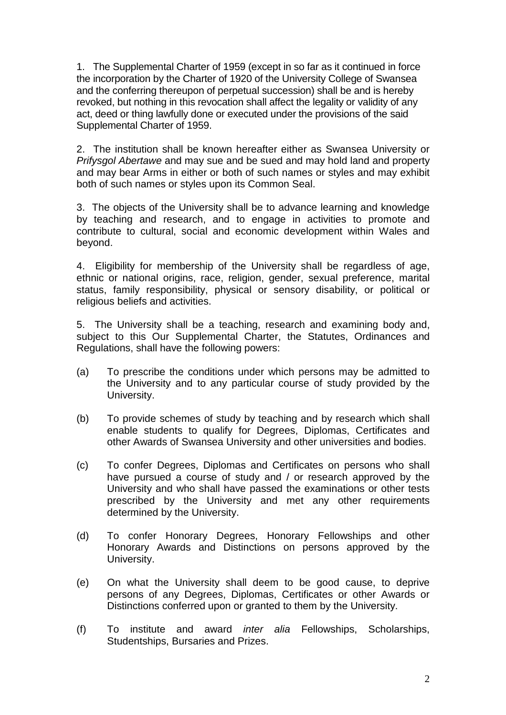1. The Supplemental Charter of 1959 (except in so far as it continued in force the incorporation by the Charter of 1920 of the University College of Swansea and the conferring thereupon of perpetual succession) shall be and is hereby revoked, but nothing in this revocation shall affect the legality or validity of any act, deed or thing lawfully done or executed under the provisions of the said Supplemental Charter of 1959.

2. The institution shall be known hereafter either as Swansea University or Prifysgol Abertawe and may sue and be sued and may hold land and property and may bear Arms in either or both of such names or styles and may exhibit both of such names or styles upon its Common Seal.

3. The objects of the University shall be to advance learning and knowledge by teaching and research, and to engage in activities to promote and contribute to cultural, social and economic development within Wales and beyond.

4. Eligibility for membership of the University shall be regardless of age, ethnic or national origins, race, religion, gender, sexual preference, marital status, family responsibility, physical or sensory disability, or political or religious beliefs and activities.

5. The University shall be a teaching, research and examining body and, subject to this Our Supplemental Charter, the Statutes, Ordinances and Regulations, shall have the following powers:

- (a) To prescribe the conditions under which persons may be admitted to the University and to any particular course of study provided by the University.
- (b) To provide schemes of study by teaching and by research which shall enable students to qualify for Degrees, Diplomas, Certificates and other Awards of Swansea University and other universities and bodies.
- (c) To confer Degrees, Diplomas and Certificates on persons who shall have pursued a course of study and / or research approved by the University and who shall have passed the examinations or other tests prescribed by the University and met any other requirements determined by the University.
- (d) To confer Honorary Degrees, Honorary Fellowships and other Honorary Awards and Distinctions on persons approved by the University.
- (e) On what the University shall deem to be good cause, to deprive persons of any Degrees, Diplomas, Certificates or other Awards or Distinctions conferred upon or granted to them by the University.
- (f) To institute and award inter alia Fellowships, Scholarships, Studentships, Bursaries and Prizes.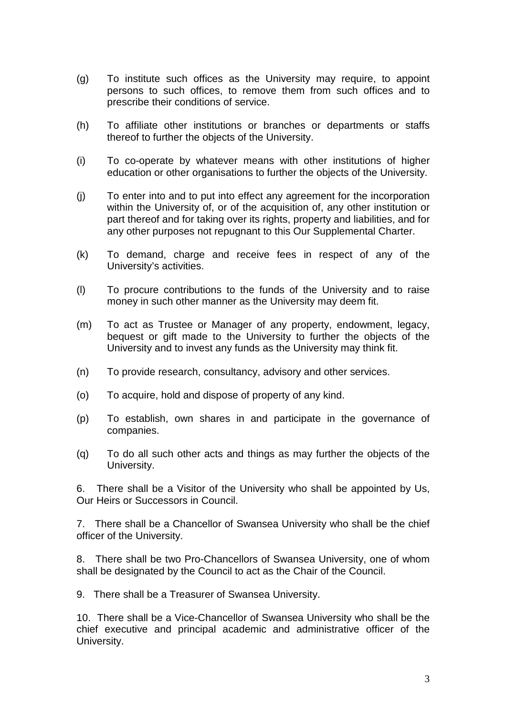- (g) To institute such offices as the University may require, to appoint persons to such offices, to remove them from such offices and to prescribe their conditions of service.
- (h) To affiliate other institutions or branches or departments or staffs thereof to further the objects of the University.
- (i) To co-operate by whatever means with other institutions of higher education or other organisations to further the objects of the University.
- (j) To enter into and to put into effect any agreement for the incorporation within the University of, or of the acquisition of, any other institution or part thereof and for taking over its rights, property and liabilities, and for any other purposes not repugnant to this Our Supplemental Charter.
- (k) To demand, charge and receive fees in respect of any of the University's activities.
- (l) To procure contributions to the funds of the University and to raise money in such other manner as the University may deem fit.
- (m) To act as Trustee or Manager of any property, endowment, legacy, bequest or gift made to the University to further the objects of the University and to invest any funds as the University may think fit.
- (n) To provide research, consultancy, advisory and other services.
- (o) To acquire, hold and dispose of property of any kind.
- (p) To establish, own shares in and participate in the governance of companies.
- (q) To do all such other acts and things as may further the objects of the University.

6. There shall be a Visitor of the University who shall be appointed by Us, Our Heirs or Successors in Council.

7. There shall be a Chancellor of Swansea University who shall be the chief officer of the University.

8. There shall be two Pro-Chancellors of Swansea University, one of whom shall be designated by the Council to act as the Chair of the Council.

9. There shall be a Treasurer of Swansea University.

10. There shall be a Vice-Chancellor of Swansea University who shall be the chief executive and principal academic and administrative officer of the University.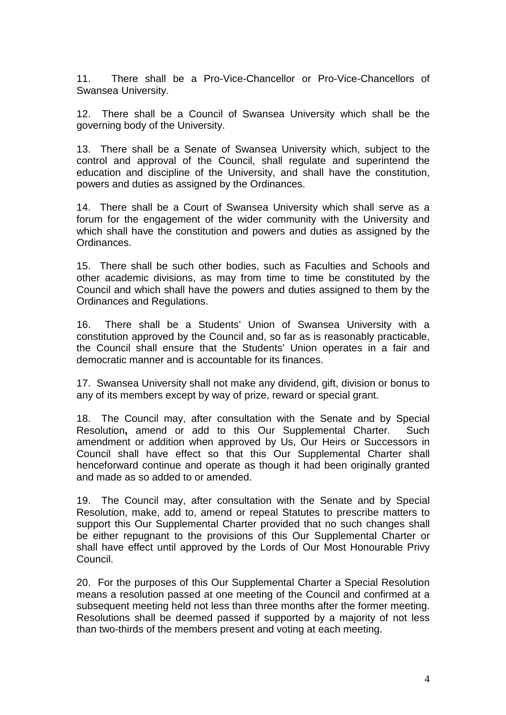11. There shall be a Pro-Vice-Chancellor or Pro-Vice-Chancellors of Swansea University.

12. There shall be a Council of Swansea University which shall be the governing body of the University.

13. There shall be a Senate of Swansea University which, subject to the control and approval of the Council, shall regulate and superintend the education and discipline of the University, and shall have the constitution, powers and duties as assigned by the Ordinances.

14. There shall be a Court of Swansea University which shall serve as a forum for the engagement of the wider community with the University and which shall have the constitution and powers and duties as assigned by the Ordinances.

15. There shall be such other bodies, such as Faculties and Schools and other academic divisions, as may from time to time be constituted by the Council and which shall have the powers and duties assigned to them by the Ordinances and Regulations.

16. There shall be a Students' Union of Swansea University with a constitution approved by the Council and, so far as is reasonably practicable, the Council shall ensure that the Students' Union operates in a fair and democratic manner and is accountable for its finances.

17. Swansea University shall not make any dividend, gift, division or bonus to any of its members except by way of prize, reward or special grant.

18. The Council may, after consultation with the Senate and by Special Resolution**,** amend or add to this Our Supplemental Charter. Such amendment or addition when approved by Us, Our Heirs or Successors in Council shall have effect so that this Our Supplemental Charter shall henceforward continue and operate as though it had been originally granted and made as so added to or amended.

19. The Council may, after consultation with the Senate and by Special Resolution, make, add to, amend or repeal Statutes to prescribe matters to support this Our Supplemental Charter provided that no such changes shall be either repugnant to the provisions of this Our Supplemental Charter or shall have effect until approved by the Lords of Our Most Honourable Privy Council.

20. For the purposes of this Our Supplemental Charter a Special Resolution means a resolution passed at one meeting of the Council and confirmed at a subsequent meeting held not less than three months after the former meeting. Resolutions shall be deemed passed if supported by a majority of not less than two-thirds of the members present and voting at each meeting.